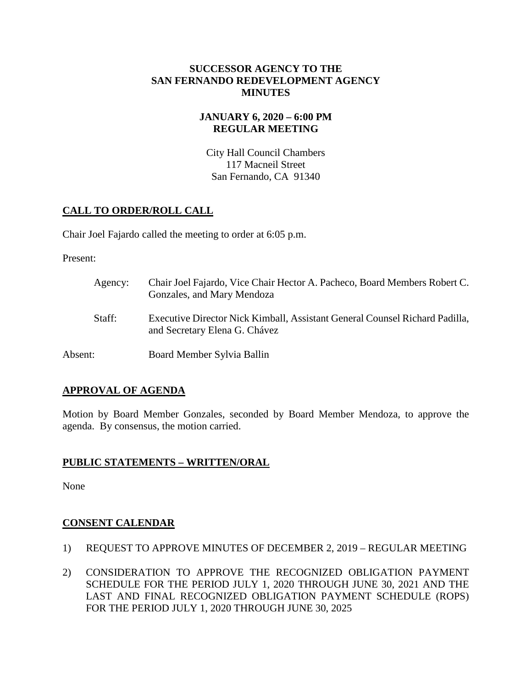### **SUCCESSOR AGENCY TO THE SAN FERNANDO REDEVELOPMENT AGENCY MINUTES**

### **JANUARY 6, 2020 – 6:00 PM REGULAR MEETING**

City Hall Council Chambers 117 Macneil Street San Fernando, CA 91340

## **CALL TO ORDER/ROLL CALL**

Chair Joel Fajardo called the meeting to order at 6:05 p.m.

Present:

| Agency: | Chair Joel Fajardo, Vice Chair Hector A. Pacheco, Board Members Robert C.<br>Gonzales, and Mary Mendoza      |
|---------|--------------------------------------------------------------------------------------------------------------|
| Staff:  | Executive Director Nick Kimball, Assistant General Counsel Richard Padilla,<br>and Secretary Elena G. Chávez |
| Absent: | Board Member Sylvia Ballin                                                                                   |

### **APPROVAL OF AGENDA**

Motion by Board Member Gonzales, seconded by Board Member Mendoza, to approve the agenda. By consensus, the motion carried.

### **PUBLIC STATEMENTS – WRITTEN/ORAL**

None

# **CONSENT CALENDAR**

- 1) REQUEST TO APPROVE MINUTES OF DECEMBER 2, 2019 REGULAR MEETING
- 2) CONSIDERATION TO APPROVE THE RECOGNIZED OBLIGATION PAYMENT SCHEDULE FOR THE PERIOD JULY 1, 2020 THROUGH JUNE 30, 2021 AND THE LAST AND FINAL RECOGNIZED OBLIGATION PAYMENT SCHEDULE (ROPS) FOR THE PERIOD JULY 1, 2020 THROUGH JUNE 30, 2025